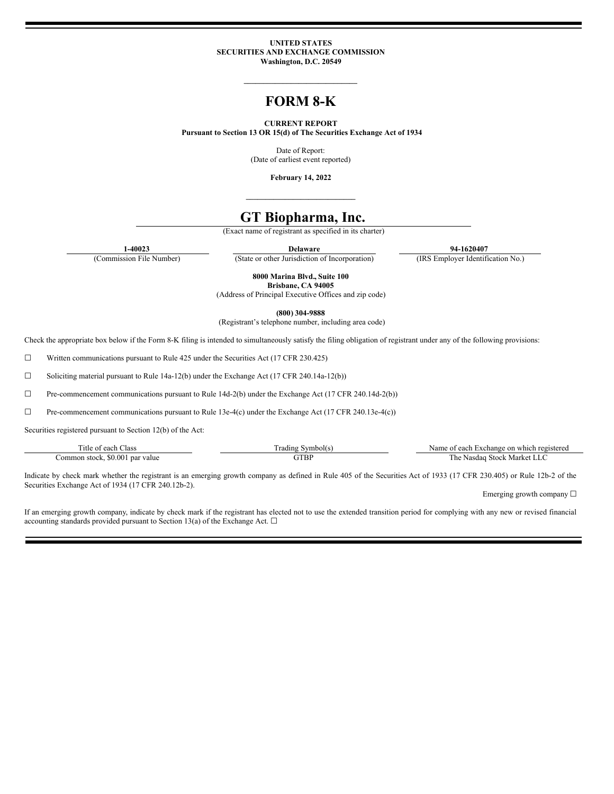#### **UNITED STATES SECURITIES AND EXCHANGE COMMISSION Washington, D.C. 20549**

**\_\_\_\_\_\_\_\_\_\_\_\_\_\_\_\_\_\_\_\_\_\_\_\_\_\_\_\_\_**

# **FORM 8-K**

#### **CURRENT REPORT**

**Pursuant to Section 13 OR 15(d) of The Securities Exchange Act of 1934**

Date of Report: (Date of earliest event reported)

**February 14, 2022 \_\_\_\_\_\_\_\_\_\_\_\_\_\_\_\_\_\_\_\_\_\_\_\_\_\_\_\_**

## **GT Biopharma, Inc.**

(Exact name of registrant as specified in its charter)

**1-40023 Delaware 94-1620407**

(Commission File Number) (State or other Jurisdiction of Incorporation) (IRS Employer Identification No.)

**8000 Marina Blvd., Suite 100 Brisbane, CA 94005**

(Address of Principal Executive Offices and zip code)

**(800) 304-9888**

(Registrant's telephone number, including area code)

Check the appropriate box below if the Form 8-K filing is intended to simultaneously satisfy the filing obligation of registrant under any of the following provisions:

☐ Written communications pursuant to Rule 425 under the Securities Act (17 CFR 230.425)

☐ Soliciting material pursuant to Rule 14a-12(b) under the Exchange Act (17 CFR 240.14a-12(b))

☐ Pre-commencement communications pursuant to Rule 14d-2(b) under the Exchange Act (17 CFR 240.14d-2(b))

☐ Pre-commencement communications pursuant to Rule 13e-4(c) under the Exchange Act (17 CFR 240.13e-4(c))

Securities registered pursuant to Section 12(b) of the Act:

| $\sim$<br>∟lass<br>l itle of<br>each             | rading<br>symbol(s | registered<br>∙on<br>$\mathbf{a}\mathbf{a}$<br>∟xchange<br>which<br>Name<br>$^{\circ}$<br><u>ca</u> ca |
|--------------------------------------------------|--------------------|--------------------------------------------------------------------------------------------------------|
| .0.001<br>value<br>r par<br>ommor<br>stock.<br>. | GTBP               | Market<br>l he<br>.stoc<br>Nasdac<br>الملانة                                                           |

Indicate by check mark whether the registrant is an emerging growth company as defined in Rule 405 of the Securities Act of 1933 (17 CFR 230.405) or Rule 12b-2 of the Securities Exchange Act of 1934 (17 CFR 240.12b-2).

Emerging growth company  $\Box$ 

If an emerging growth company, indicate by check mark if the registrant has elected not to use the extended transition period for complying with any new or revised financial accounting standards provided pursuant to Section 13(a) of the Exchange Act.  $\Box$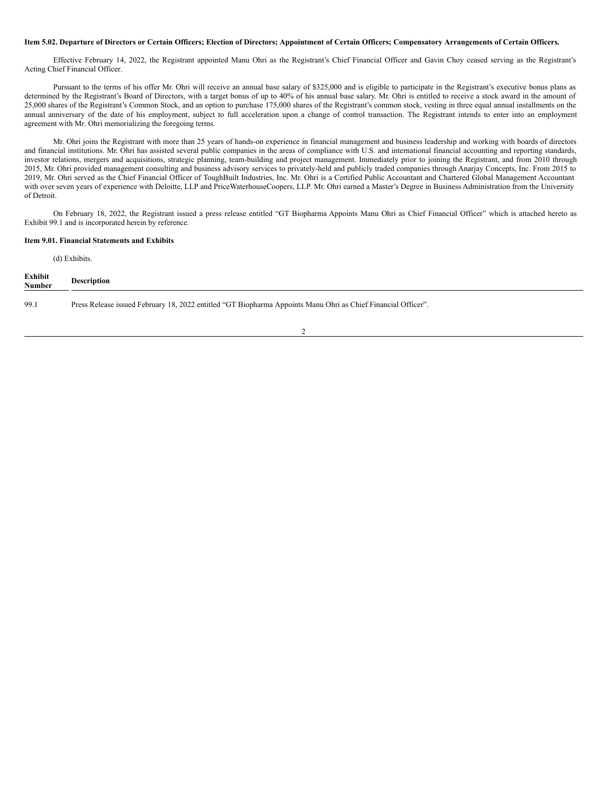#### Item 5.02. Departure of Directors or Certain Officers; Election of Directors; Appointment of Certain Officers; Compensatory Arrangements of Certain Officers.

Effective February 14, 2022, the Registrant appointed Manu Ohri as the Registrant's Chief Financial Officer and Gavin Choy ceased serving as the Registrant's Acting Chief Financial Officer.

Pursuant to the terms of his offer Mr. Ohri will receive an annual base salary of \$325,000 and is eligible to participate in the Registrant's executive bonus plans as determined by the Registrant's Board of Directors, with a target bonus of up to 40% of his annual base salary. Mr. Ohri is entitled to receive a stock award in the amount of 25,000 shares of the Registrant's Common Stock, and an option to purchase 175,000 shares of the Registrant's common stock, vesting in three equal annual installments on the annual anniversary of the date of his employment, subject to full acceleration upon a change of control transaction. The Registrant intends to enter into an employment agreement with Mr. Ohri memorializing the foregoing terms.

Mr. Ohri joins the Registrant with more than 25 years of hands-on experience in financial management and business leadership and working with boards of directors and financial institutions. Mr. Ohri has assisted several public companies in the areas of compliance with U.S. and international financial accounting and reporting standards, investor relations, mergers and acquisitions, strategic planning, team-building and project management. Immediately prior to joining the Registrant, and from 2010 through 2015, Mr. Ohri provided management consulting and business advisory services to privately-held and publicly traded companies through Anarjay Concepts, Inc. From 2015 to 2019, Mr. Ohri served as the Chief Financial Officer of ToughBuilt Industries, Inc. Mr. Ohri is a Certified Public Accountant and Chartered Global Management Accountant with over seven years of experience with Deloitte, LLP and PriceWaterhouseCoopers, LLP. Mr. Ohri earned a Master's Degree in Business Administration from the University of Detroit.

On February 18, 2022, the Registrant issued a press release entitled "GT Biopharma Appoints Manu Ohri as Chief Financial Officer" which is attached hereto as Exhibit 99.1 and is incorporated herein by reference.

#### **Item 9.01. Financial Statements and Exhibits**

(d) Exhibits.

| Exhibit<br>Number | <b>Description</b>                                                                                            |
|-------------------|---------------------------------------------------------------------------------------------------------------|
| 99.1              | Press Release issued February 18, 2022 entitled "GT Biopharma Appoints Manu Ohri as Chief Financial Officer". |

2